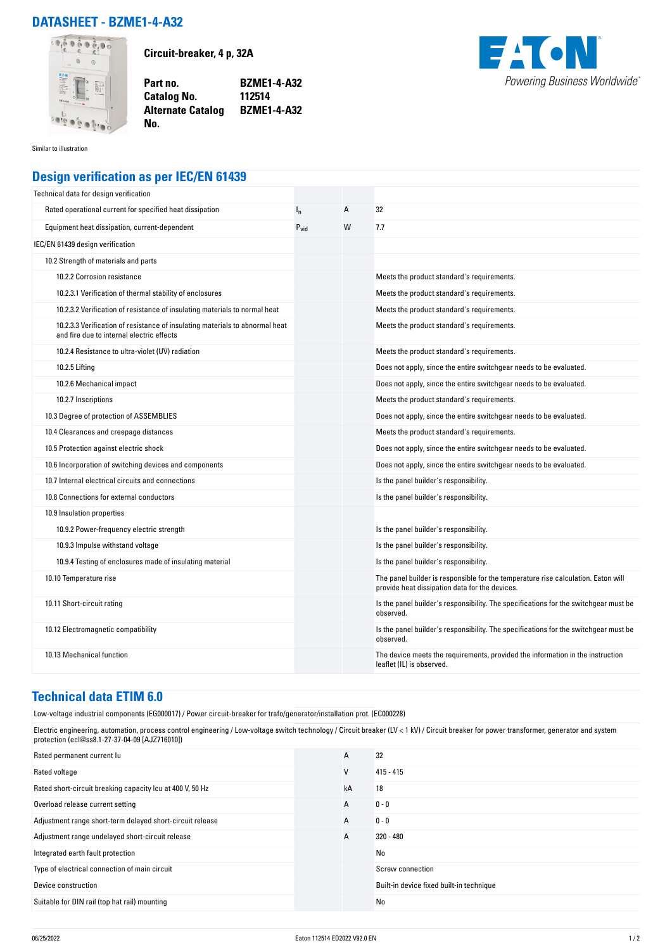## **DATASHEET - BZME1-4-A32**



**Circuit-breaker, 4 p, 32A**

**Part no. BZME1-4-A32 Catalog No. Alternate Catalog BZME1-4-A32**



Similar to illustration

## **Design verification as per IEC/EN 61439**

**No.** 

| Technical data for design verification                                                                                    |           |   |                                                                                                                                     |
|---------------------------------------------------------------------------------------------------------------------------|-----------|---|-------------------------------------------------------------------------------------------------------------------------------------|
| Rated operational current for specified heat dissipation                                                                  | $I_{n}$   | A | 32                                                                                                                                  |
| Equipment heat dissipation, current-dependent                                                                             | $P_{vid}$ | W | 7.7                                                                                                                                 |
| IEC/EN 61439 design verification                                                                                          |           |   |                                                                                                                                     |
| 10.2 Strength of materials and parts                                                                                      |           |   |                                                                                                                                     |
| 10.2.2 Corrosion resistance                                                                                               |           |   | Meets the product standard's requirements.                                                                                          |
| 10.2.3.1 Verification of thermal stability of enclosures                                                                  |           |   | Meets the product standard's requirements.                                                                                          |
| 10.2.3.2 Verification of resistance of insulating materials to normal heat                                                |           |   | Meets the product standard's requirements.                                                                                          |
| 10.2.3.3 Verification of resistance of insulating materials to abnormal heat<br>and fire due to internal electric effects |           |   | Meets the product standard's requirements.                                                                                          |
| 10.2.4 Resistance to ultra-violet (UV) radiation                                                                          |           |   | Meets the product standard's requirements.                                                                                          |
| 10.2.5 Lifting                                                                                                            |           |   | Does not apply, since the entire switchgear needs to be evaluated.                                                                  |
| 10.2.6 Mechanical impact                                                                                                  |           |   | Does not apply, since the entire switchgear needs to be evaluated.                                                                  |
| 10.2.7 Inscriptions                                                                                                       |           |   | Meets the product standard's requirements.                                                                                          |
| 10.3 Degree of protection of ASSEMBLIES                                                                                   |           |   | Does not apply, since the entire switchgear needs to be evaluated.                                                                  |
| 10.4 Clearances and creepage distances                                                                                    |           |   | Meets the product standard's requirements.                                                                                          |
| 10.5 Protection against electric shock                                                                                    |           |   | Does not apply, since the entire switchgear needs to be evaluated.                                                                  |
| 10.6 Incorporation of switching devices and components                                                                    |           |   | Does not apply, since the entire switchgear needs to be evaluated.                                                                  |
| 10.7 Internal electrical circuits and connections                                                                         |           |   | Is the panel builder's responsibility.                                                                                              |
| 10.8 Connections for external conductors                                                                                  |           |   | Is the panel builder's responsibility.                                                                                              |
| 10.9 Insulation properties                                                                                                |           |   |                                                                                                                                     |
| 10.9.2 Power-frequency electric strength                                                                                  |           |   | Is the panel builder's responsibility.                                                                                              |
| 10.9.3 Impulse withstand voltage                                                                                          |           |   | Is the panel builder's responsibility.                                                                                              |
| 10.9.4 Testing of enclosures made of insulating material                                                                  |           |   | Is the panel builder's responsibility.                                                                                              |
| 10.10 Temperature rise                                                                                                    |           |   | The panel builder is responsible for the temperature rise calculation. Eaton will<br>provide heat dissipation data for the devices. |
| 10.11 Short-circuit rating                                                                                                |           |   | Is the panel builder's responsibility. The specifications for the switchgear must be<br>observed.                                   |
| 10.12 Electromagnetic compatibility                                                                                       |           |   | Is the panel builder's responsibility. The specifications for the switchgear must be<br>observed.                                   |
| 10.13 Mechanical function                                                                                                 |           |   | The device meets the requirements, provided the information in the instruction<br>leaflet (IL) is observed.                         |

## **Technical data ETIM 6.0**

Low-voltage industrial components (EG000017) / Power circuit-breaker for trafo/generator/installation prot. (EC000228)

Electric engineering, automation, process control engineering / Low-voltage switch technology / Circuit breaker (LV < 1 kV) / Circuit breaker for power transformer, generator and system protection (ecl@ss8.1-27-37-04-09 [AJZ716010])

| Rated permanent current lu                                | A  | 32                                       |
|-----------------------------------------------------------|----|------------------------------------------|
| Rated voltage                                             | ٧  | $415 - 415$                              |
| Rated short-circuit breaking capacity Icu at 400 V, 50 Hz | kA | 18                                       |
| Overload release current setting                          | A  | $0 - 0$                                  |
| Adjustment range short-term delayed short-circuit release | A  | $0 - 0$                                  |
| Adjustment range undelayed short-circuit release          | A  | $320 - 480$                              |
| Integrated earth fault protection                         |    | No                                       |
| Type of electrical connection of main circuit             |    | Screw connection                         |
| Device construction                                       |    | Built-in device fixed built-in technique |
| Suitable for DIN rail (top hat rail) mounting             |    | No                                       |